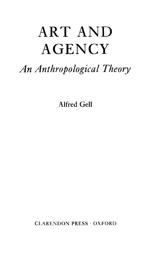## ART AND **AGENCY**

## *An Anthropological Theory*

Alfred Gell

CLARENDON PRESS · OXFORD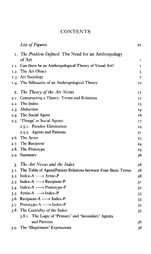## **CONTENTS**

| <b>List of Figures</b>                                             | XX             |
|--------------------------------------------------------------------|----------------|
| 1. The Problem Defined: The Need for an Anthropology               |                |
| of Art                                                             | 1              |
| 1.1. Can there be an Anthropological Theory of Visual Art?         | 1              |
| 1.2. The Art Object                                                | 5              |
| 1.3. Art Sociology                                                 | 7              |
| 1.4. The Silhouette of an Anthropological Theory                   | 10             |
| 2. The Theory of the Art Nexus                                     | 12             |
| 2.1. Constructing a Theory: Terms and Relations                    | 12             |
| 2.2. The Index                                                     | 13             |
| 2.3. Abduction                                                     | 14             |
| 2.4. The Social Agent                                              | 16             |
| 2.5. 'Things' as Social Agents                                     | 17             |
| 2.5.1. Paradox Elimination                                         | 10             |
| 2.5.2. Agents and Patients                                         | 21             |
| 2.6. The Artist                                                    | 23             |
| 2.7. The Recipient                                                 | 24             |
| 2.8. The Prototype                                                 | 25             |
| 2.9. Summary                                                       | 26             |
| 3. The Art Nexus and the Index                                     | 28             |
| 3.1. The Table of Agent/Patient Relations between Four Basic Terms | 28             |
| 3.2. Index-A $\longrightarrow$ Artist-P                            | 28             |
| 3.3. Index-A $\longrightarrow$ Recipient-P                         | 3 <sup>T</sup> |
| 3.4. Index-A $\longrightarrow$ Prototype-P                         | 32             |
| 3.5. Artist-A $\longrightarrow$ Index-P                            | 33             |
| 3.6. Recipient-A $\longrightarrow$ Index-P                         | 33             |
| 3.7. Prototype-A $\longrightarrow$ Index-P                         | 35             |
| 3.8. The Centrality of the Index                                   | 35             |
| 3.8.1. The Logic of 'Primary' and 'Secondary' Agents               |                |
| and Patients                                                       | 36             |
| 3.9. The 'Illegitimate' Expressions                                | 38             |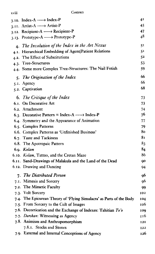xviii *Contents*

| 3.10. Index-A $\longrightarrow$ Index-P                              | 41  |
|----------------------------------------------------------------------|-----|
| 3.11. Artist-A $\longrightarrow$ Artist-P                            | 45  |
| 3.12. Recipient-A $\longrightarrow$ Recipient-P                      | 47  |
| 3.13. Prototype-A $\longrightarrow$ Prototype-P                      | 48  |
| 4. The Involution of the Index in the Art Nexus                      | 51  |
| 4.1. Hierarchical Embedding of Agent/Patient Relations               | 51  |
| 4.2. The Effect of Substitutions                                     | 52  |
| 4.3. Tree-Structures                                                 | 53  |
| 4.4. Some more Complex Tree-Structures: The Nail Fetish              | 59  |
| 5. The Origination of the Index                                      | 66  |
| 5.1. Agency                                                          | 66  |
| 5.2. Captivation                                                     | 68  |
|                                                                      | 73  |
| 6. The Critique of the Index<br>6.1. On Decorative Art               | 73  |
| 6.2. Attachment                                                      | 74  |
| 6.3. Decorative Pattern = Index-A $\longrightarrow$ Index-P          | 76  |
| 6.4. Symmetry and the Appearance of Animation                        | 77  |
| 6.5. Complex Patterns                                                | 79  |
| 6.6. Complex Patterns as 'Unfinished Business'                       | 80  |
| 6.7. Taste and Tackiness                                             | 81  |
| 6.8. The Apotropaic Pattern                                          | 83  |
| 6.9. Kolam                                                           | 84  |
| 6.10. Kolam, Tattoo, and the Cretan Maze                             | 86  |
| 6.11. Sand-Drawings of Malakula and the Land of the Dead             | 90  |
| 6.12. Drawing and Dancing                                            | 94  |
| 7. The Distributed Person                                            | 96  |
| 7.1. Mimesis and Sorcery                                             | 96  |
| 7.2. The Mimetic Faculty                                             | 99  |
| 7.3. Volt Sorcery                                                    | 102 |
| 7.4. The Epicurean Theory of 'Flying Simulacra' as Parts of the Body | 104 |
| 7.5. From Sorcery to the Cult of Images                              | 106 |
| 7.6. Decortication and the Exchange of Indexes: Tahitian To'o        | 100 |
| 7.7. Darshan: Witnessing as Agency                                   | 116 |
| 7.8. Animism and Anthropomorphism                                    | 121 |
| 7.8.1. Stocks and Stones                                             | 122 |
| 7.9. External and Internal Conceptions of Agency                     | 126 |